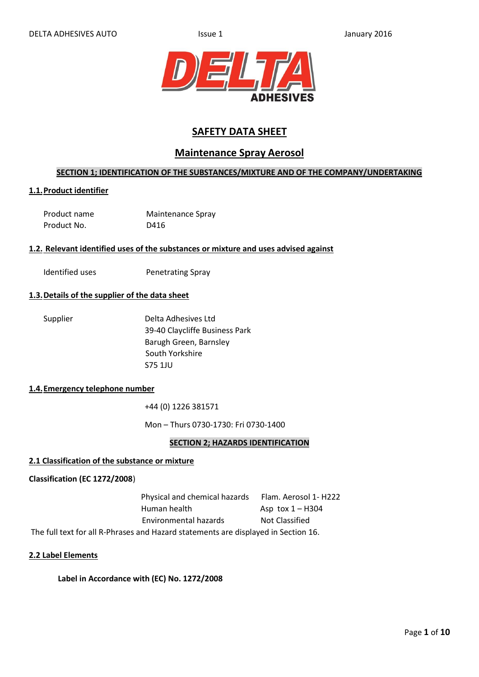

# **SAFETY DATA SHEET**

# **Maintenance Spray Aerosol**

# **SECTION 1; IDENTIFICATION OF THE SUBSTANCES/MIXTURE AND OF THE COMPANY/UNDERTAKING**

# **1.1.Product identifier**

| Product name | Maintenance Spray |
|--------------|-------------------|
| Product No.  | D416              |

#### **1.2. Relevant identified uses of the substances or mixture and uses advised against**

Identified uses **Penetrating Spray** 

# **1.3.Details of the supplier of the data sheet**

| Supplier | Delta Adhesives Ltd            |
|----------|--------------------------------|
|          | 39-40 Claycliffe Business Park |
|          | Barugh Green, Barnsley         |
|          | South Yorkshire                |
|          | S75 1JU                        |
|          |                                |

#### **1.4.Emergency telephone number**

+44 (0) 1226 381571

Mon – Thurs 0730-1730: Fri 0730-1400

#### **SECTION 2; HAZARDS IDENTIFICATION**

#### **2.1 Classification of the substance or mixture**

#### **Classification (EC 1272/2008**)

Physical and chemical hazards Flam. Aerosol 1- H222 Human health  $\overline{AB}$  Asp tox  $1 - H304$ Environmental hazards Not Classified The full text for all R-Phrases and Hazard statements are displayed in Section 16.

#### **2.2 Label Elements**

# **Label in Accordance with (EC) No. 1272/2008**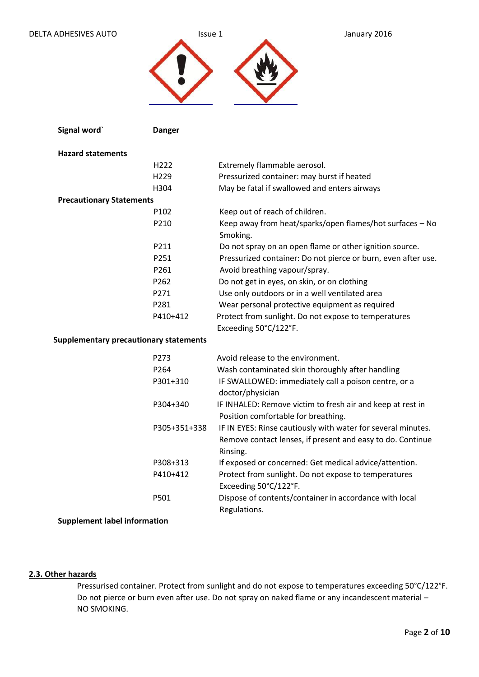### DELTA ADHESIVES AUTO **ISSUE 1** ISSUE 1 January 2016



| Signal word`                                  | <b>Danger</b>    |                                                                                                                                        |
|-----------------------------------------------|------------------|----------------------------------------------------------------------------------------------------------------------------------------|
| <b>Hazard statements</b>                      |                  |                                                                                                                                        |
|                                               | H222             | Extremely flammable aerosol.                                                                                                           |
|                                               | H229             | Pressurized container: may burst if heated                                                                                             |
|                                               | H304             | May be fatal if swallowed and enters airways                                                                                           |
| <b>Precautionary Statements</b>               |                  |                                                                                                                                        |
|                                               | P102             | Keep out of reach of children.                                                                                                         |
|                                               | P210             | Keep away from heat/sparks/open flames/hot surfaces - No<br>Smoking.                                                                   |
|                                               | P211             | Do not spray on an open flame or other ignition source.                                                                                |
|                                               | P251             | Pressurized container: Do not pierce or burn, even after use.                                                                          |
|                                               | P261             | Avoid breathing vapour/spray.                                                                                                          |
|                                               | P262             | Do not get in eyes, on skin, or on clothing                                                                                            |
|                                               | P271             | Use only outdoors or in a well ventilated area                                                                                         |
|                                               | P281             | Wear personal protective equipment as required                                                                                         |
|                                               | P410+412         | Protect from sunlight. Do not expose to temperatures                                                                                   |
|                                               |                  | Exceeding 50°C/122°F.                                                                                                                  |
| <b>Supplementary precautionary statements</b> |                  |                                                                                                                                        |
|                                               | P273             | Avoid release to the environment.                                                                                                      |
|                                               | P <sub>264</sub> | Wash contaminated skin thoroughly after handling                                                                                       |
|                                               | P301+310         | IF SWALLOWED: immediately call a poison centre, or a<br>doctor/physician                                                               |
|                                               | P304+340         | IF INHALED: Remove victim to fresh air and keep at rest in<br>Position comfortable for breathing.                                      |
|                                               | P305+351+338     | IF IN EYES: Rinse cautiously with water for several minutes.<br>Remove contact lenses, if present and easy to do. Continue<br>Rinsing. |
|                                               | P308+313         | If exposed or concerned: Get medical advice/attention.                                                                                 |
|                                               | P410+412         | Protect from sunlight. Do not expose to temperatures<br>Exceeding 50°C/122°F.                                                          |
|                                               | P501             | Dispose of contents/container in accordance with local<br>Regulations.                                                                 |
| <b>Supplement label information</b>           |                  |                                                                                                                                        |

### **2.3. Other hazards**

 Pressurised container. Protect from sunlight and do not expose to temperatures exceeding 50°C/122°F. Do not pierce or burn even after use. Do not spray on naked flame or any incandescent material – NO SMOKING.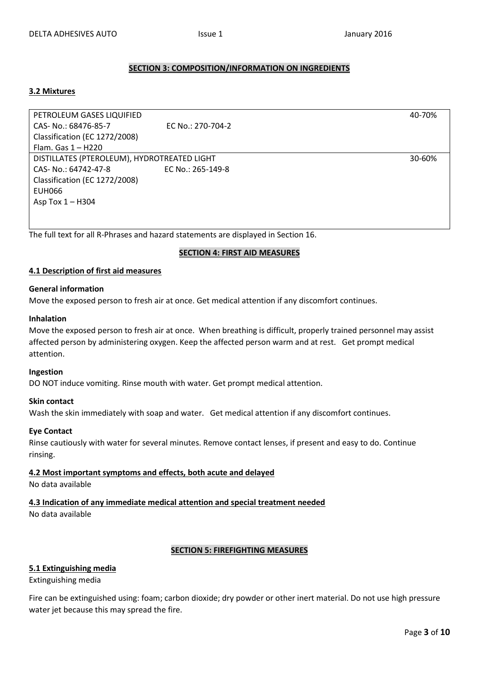# **SECTION 3: COMPOSITION/INFORMATION ON INGREDIENTS**

#### **3.2 Mixtures**

PETROLEUM GASES LIQUIFIED 40-70% CAS- No.: 68476-85-7 EC No.: 270-704-2 Classification (EC 1272/2008) Flam. Gas 1 – H220 DISTILLATES (PTEROLEUM), HYDROTREATED LIGHT 30-60% CAS- No.: 64742-47-8 EC No.: 265-149-8 Classification (EC 1272/2008) EUH066 Asp Tox 1 – H304

The full text for all R-Phrases and hazard statements are displayed in Section 16.

#### **SECTION 4: FIRST AID MEASURES**

#### **4.1 Description of first aid measures**

#### **General information**

Move the exposed person to fresh air at once. Get medical attention if any discomfort continues.

#### **Inhalation**

Move the exposed person to fresh air at once. When breathing is difficult, properly trained personnel may assist affected person by administering oxygen. Keep the affected person warm and at rest. Get prompt medical attention.

#### **Ingestion**

DO NOT induce vomiting. Rinse mouth with water. Get prompt medical attention.

#### **Skin contact**

Wash the skin immediately with soap and water. Get medical attention if any discomfort continues.

#### **Eye Contact**

Rinse cautiously with water for several minutes. Remove contact lenses, if present and easy to do. Continue rinsing.

**4.2 Most important symptoms and effects, both acute and delayed**

No data available

**4.3 Indication of any immediate medical attention and special treatment needed**

No data available

# **SECTION 5: FIREFIGHTING MEASURES**

#### **5.1 Extinguishing media**

Extinguishing media

Fire can be extinguished using: foam; carbon dioxide; dry powder or other inert material. Do not use high pressure water jet because this may spread the fire.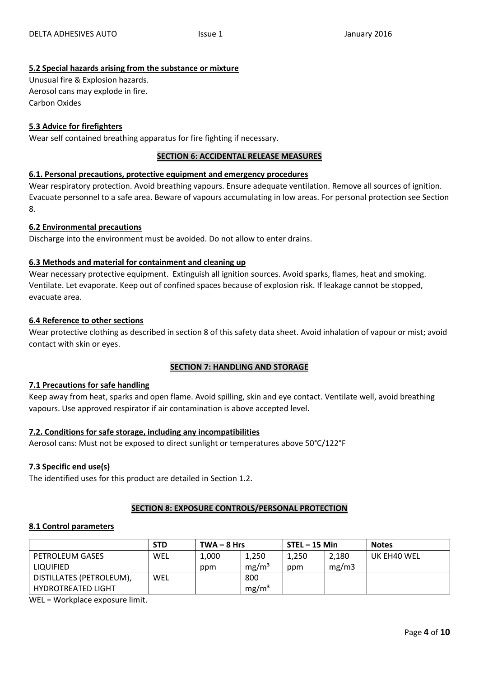# **5.2 Special hazards arising from the substance or mixture**

Unusual fire & Explosion hazards. Aerosol cans may explode in fire. Carbon Oxides

# **5.3 Advice for firefighters**

Wear self contained breathing apparatus for fire fighting if necessary.

# **SECTION 6: ACCIDENTAL RELEASE MEASURES**

### **6.1. Personal precautions, protective equipment and emergency procedures**

Wear respiratory protection. Avoid breathing vapours. Ensure adequate ventilation. Remove all sources of ignition. Evacuate personnel to a safe area. Beware of vapours accumulating in low areas. For personal protection see Section 8.

#### **6.2 Environmental precautions**

Discharge into the environment must be avoided. Do not allow to enter drains.

# **6.3 Methods and material for containment and cleaning up**

Wear necessary protective equipment. Extinguish all ignition sources. Avoid sparks, flames, heat and smoking. Ventilate. Let evaporate. Keep out of confined spaces because of explosion risk. If leakage cannot be stopped, evacuate area.

#### **6.4 Reference to other sections**

Wear protective clothing as described in section 8 of this safety data sheet. Avoid inhalation of vapour or mist; avoid contact with skin or eyes.

# **SECTION 7: HANDLING AND STORAGE**

#### **7.1 Precautions for safe handling**

Keep away from heat, sparks and open flame. Avoid spilling, skin and eye contact. Ventilate well, avoid breathing vapours. Use approved respirator if air contamination is above accepted level.

#### **7.2. Conditions for safe storage, including any incompatibilities**

Aerosol cans: Must not be exposed to direct sunlight or temperatures above 50°C/122°F

# **7.3 Specific end use(s)**

The identified uses for this product are detailed in Section 1.2.

#### **SECTION 8: EXPOSURE CONTROLS/PERSONAL PROTECTION**

#### **8.1 Control parameters**

|                           | <b>STD</b> | $TWA - 8 Hrs$ |                   | $STEL - 15$ Min |       | <b>Notes</b> |
|---------------------------|------------|---------------|-------------------|-----------------|-------|--------------|
| <b>PETROLEUM GASES</b>    | WEL        | 1,000         | 1,250             | 1,250           | 2,180 | UK EH40 WEL  |
| LIQUIFIED                 |            | ppm           | mg/m <sup>3</sup> | ppm             | mg/m3 |              |
| DISTILLATES (PETROLEUM),  | WEL        |               | 800               |                 |       |              |
| <b>HYDROTREATED LIGHT</b> |            |               | mg/m <sup>3</sup> |                 |       |              |

WEL = Workplace exposure limit.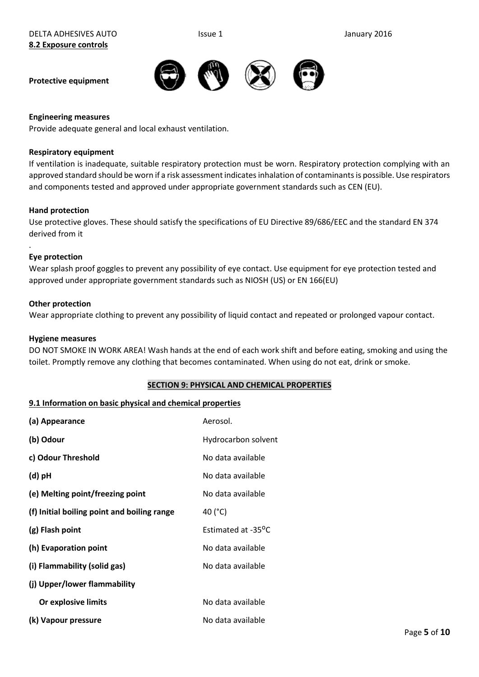**Protective equipment**

## **Engineering measures**

Provide adequate general and local exhaust ventilation.

#### **Respiratory equipment**

If ventilation is inadequate, suitable respiratory protection must be worn. Respiratory protection complying with an approved standard should be worn if a risk assessment indicates inhalation of contaminants is possible. Use respirators and components tested and approved under appropriate government standards such as CEN (EU).

#### **Hand protection**

Use protective gloves. These should satisfy the specifications of EU Directive 89/686/EEC and the standard EN 374 derived from it

#### **Eye protection**

.

Wear splash proof goggles to prevent any possibility of eye contact. Use equipment for eye protection tested and approved under appropriate government standards such as NIOSH (US) or EN 166(EU)

#### **Other protection**

Wear appropriate clothing to prevent any possibility of liquid contact and repeated or prolonged vapour contact.

#### **Hygiene measures**

DO NOT SMOKE IN WORK AREA! Wash hands at the end of each work shift and before eating, smoking and using the toilet. Promptly remove any clothing that becomes contaminated. When using do not eat, drink or smoke.

#### **SECTION 9: PHYSICAL AND CHEMICAL PROPERTIES**

#### **9.1 Information on basic physical and chemical properties**

| (a) Appearance                              | Aerosol.                        |
|---------------------------------------------|---------------------------------|
| (b) Odour                                   | Hydrocarbon solvent             |
| c) Odour Threshold                          | No data available               |
| (d) pH                                      | No data available               |
| (e) Melting point/freezing point            | No data available               |
| (f) Initial boiling point and boiling range | 40 (°C)                         |
|                                             |                                 |
| (g) Flash point                             | Estimated at -35 <sup>o</sup> C |
| (h) Evaporation point                       | No data available               |
| (i) Flammability (solid gas)                | No data available               |
| (j) Upper/lower flammability                |                                 |
| Or explosive limits                         | No data available               |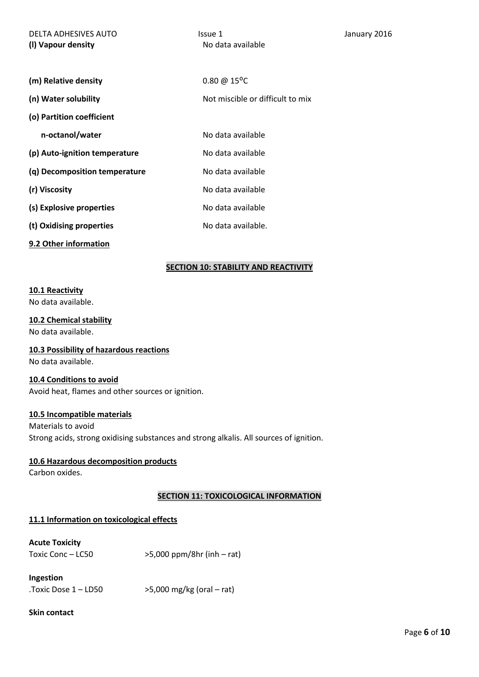| DELTA ADHESIVES AUTO<br>(I) Vapour density | Issue 1<br>No data available     | January 2016 |
|--------------------------------------------|----------------------------------|--------------|
|                                            |                                  |              |
| (m) Relative density                       | $0.80 \ @ 15^{\circ}C$           |              |
| (n) Water solubility                       | Not miscible or difficult to mix |              |
| (o) Partition coefficient                  |                                  |              |
| n-octanol/water                            | No data available                |              |
| (p) Auto-ignition temperature              | No data available                |              |
| (q) Decomposition temperature              | No data available                |              |
| (r) Viscosity                              | No data available                |              |
| (s) Explosive properties                   | No data available                |              |
| (t) Oxidising properties                   | No data available.               |              |
| 9.2 Other information                      |                                  |              |

# **SECTION 10: STABILITY AND REACTIVITY**

#### **10.1 Reactivity**

No data available.

#### **10.2 Chemical stability**

No data available.

# **10.3 Possibility of hazardous reactions**

No data available.

# **10.4 Conditions to avoid**

Avoid heat, flames and other sources or ignition.

# **10.5 Incompatible materials**

Materials to avoid Strong acids, strong oxidising substances and strong alkalis. All sources of ignition.

# **10.6 Hazardous decomposition products**

Carbon oxides.

# **SECTION 11: TOXICOLOGICAL INFORMATION**

# **11.1 Information on toxicological effects**

# **Acute Toxicity**

| Toxic Conc – LC50 | $>5,000$ ppm/8hr (inh – rat) |
|-------------------|------------------------------|
|                   |                              |

**Ingestion** 

.Toxic Dose  $1 - LDS0$   $>5,000$  mg/kg (oral – rat)

# **Skin contact**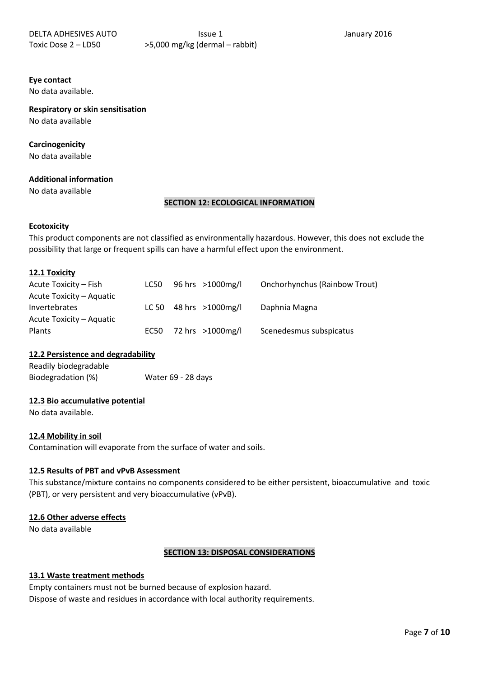# **Eye contact**

No data available.

**Respiratory or skin sensitisation** No data available

# **Carcinogenicity**

No data available

# **Additional information**

No data available

#### **SECTION 12: ECOLOGICAL INFORMATION**

#### **Ecotoxicity**

This product components are not classified as environmentally hazardous. However, this does not exclude the possibility that large or frequent spills can have a harmful effect upon the environment.

#### **12.1 Toxicity**

| Acute Toxicity – Fish    | LC50 | 96 hrs >1000mg/l          | <b>Onchorhynchus (Rainbow Trout)</b> |
|--------------------------|------|---------------------------|--------------------------------------|
| Acute Toxicity – Aquatic |      |                           |                                      |
| <b>Invertebrates</b>     |      | LC 50 48 hrs $>1000$ mg/l | Daphnia Magna                        |
| Acute Toxicity – Aquatic |      |                           |                                      |
| Plants                   |      | EC50 72 hrs >1000mg/l     | Scenedesmus subspicatus              |

# **12.2 Persistence and degradability**

Readily biodegradable Biodegradation (%) Water 69 - 28 days

# **12.3 Bio accumulative potential**

No data available.

# **12.4 Mobility in soil**

Contamination will evaporate from the surface of water and soils.

# **12.5 Results of PBT and vPvB Assessment**

This substance/mixture contains no components considered to be either persistent, bioaccumulative and toxic (PBT), or very persistent and very bioaccumulative (vPvB).

# **12.6 Other adverse effects**

No data available

# **SECTION 13: DISPOSAL CONSIDERATIONS**

# **13.1 Waste treatment methods**

Empty containers must not be burned because of explosion hazard. Dispose of waste and residues in accordance with local authority requirements.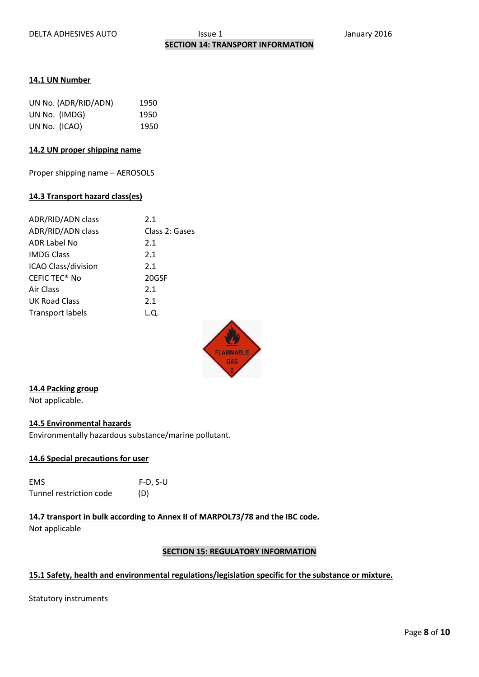#### **14.1 UN Number**

| UN No. (ADR/RID/ADN) | 1950 |
|----------------------|------|
| UN No. (IMDG)        | 1950 |
| UN No. (ICAO)        | 1950 |

### **14.2 UN proper shipping name**

Proper shipping name – AEROSOLS

#### **14.3 Transport hazard class(es)**

| ADR/RID/ADN class               | 2.1            |
|---------------------------------|----------------|
| ADR/RID/ADN class               | Class 2: Gases |
| ADR Label No                    | 2.1            |
| <b>IMDG Class</b>               | 2.1            |
| <b>ICAO Class/division</b>      | 2.1            |
| <b>CEFIC TEC<sup>®</sup> No</b> | 20GSF          |
| Air Class                       | 2.1            |
| <b>UK Road Class</b>            | 2.1            |
| <b>Transport labels</b>         | L.Q.           |



# **14.4 Packing group**

Not applicable.

# **14.5 Environmental hazards**

Environmentally hazardous substance/marine pollutant.

# **14.6 Special precautions for user**

| EMS                     | $F-D, S-U$ |
|-------------------------|------------|
| Tunnel restriction code | (D)        |

# **14.7 transport in bulk according to Annex II of MARPOL73/78 and the IBC code.**

Not applicable

# **SECTION 15: REGULATORY INFORMATION**

# **15.1 Safety, health and environmental regulations/legislation specific for the substance or mixture.**

Statutory instruments